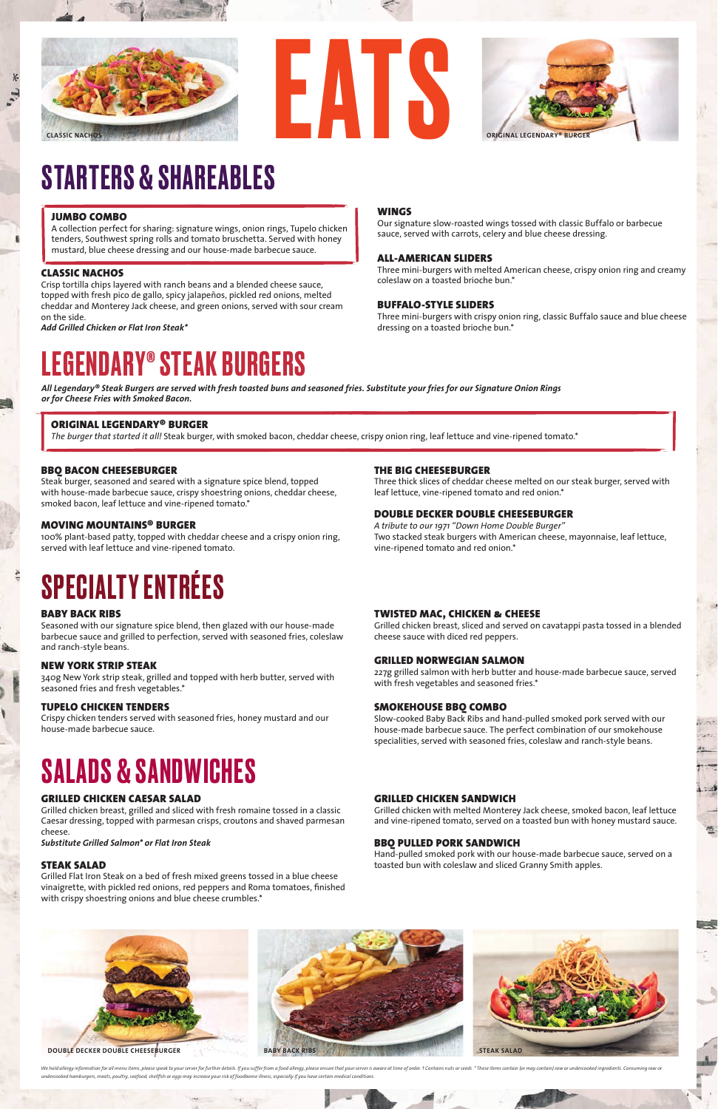## STARTERS & SHAREABLES

#### CLASSIC NACHOS

Crisp tortilla chips layered with ranch beans and a blended cheese sauce, topped with fresh pico de gallo, spicy jalapeños, pickled red onions, melted cheddar and Monterey Jack cheese, and green onions, served with sour cream on the side.

*Add Grilled Chicken or Flat Iron Steak\** 

#### WINGS

Our signature slow-roasted wings tossed with classic Buffalo or barbecue sauce, served with carrots, celery and blue cheese dressing.

#### ALL-AMERICAN SLIDERS

Three mini-burgers with melted American cheese, crispy onion ring and creamy coleslaw on a toasted brioche bun.\*

#### BUFFALO-STYLE SLIDERS

Three mini-burgers with crispy onion ring, classic Buffalo sauce and blue cheese dressing on a toasted brioche bun.\*

#### BABY BACK RIBS

١

Seasoned with our signature spice blend, then glazed with our house-made barbecue sauce and grilled to perfection, served with seasoned fries, coleslaw and ranch-style beans.

#### NEW YORK STRIP STEAK

340g New York strip steak, grilled and topped with herb butter, served with seasoned fries and fresh vegetables.\*

#### TUPELO CHICKEN TENDERS

Crispy chicken tenders served with seasoned fries, honey mustard and our house-made barbecue sauce.

#### TWISTED MAC, CHICKEN & CHEESE

Grilled chicken breast, sliced and served on cavatappi pasta tossed in a blended cheese sauce with diced red peppers.

#### GRILLED NORWEGIAN SALMON

227g grilled salmon with herb butter and house-made barbecue sauce, served with fresh vegetables and seasoned fries.\*

We hold allergy information for all menu items, please speak to your server for further details. If you suffer from a food allergy, please ensure that your server is aware at time of order. 1 Contains nuts or seeds. \* Thes *undercooked hamburgers, meats, poultry, seafood, shellfish or eggs may increase your risk of foodborne illness, especially if you have certain medical conditions.*



#### SMOKEHOUSE BBQ COMBO

Slow-cooked Baby Back Ribs and hand-pulled smoked pork served with our house-made barbecue sauce. The perfect combination of our smokehouse specialities, served with seasoned fries, coleslaw and ranch-style beans.

 $\sim$ 

概

## SALADS & SANDWICHES

#### GRILLED CHICKEN CAESAR SALAD

Grilled chicken breast, grilled and sliced with fresh romaine tossed in a classic Caesar dressing, topped with parmesan crisps, croutons and shaved parmesan cheese.

*Substitute Grilled Salmon\* or Flat Iron Steak*

#### STEAK SALAD

Grilled Flat Iron Steak on a bed of fresh mixed greens tossed in a blue cheese vinaigrette, with pickled red onions, red peppers and Roma tomatoes, finished with crispy shoestring onions and blue cheese crumbles.\*

#### GRILLED CHICKEN SANDWICH

Grilled chicken with melted Monterey Jack cheese, smoked bacon, leaf lettuce and vine-ripened tomato, served on a toasted bun with honey mustard sauce.

#### BBQ PULLED PORK SANDWICH

Hand-pulled smoked pork with our house-made barbecue sauce, served on a toasted bun with coleslaw and sliced Granny Smith apples.

### LEGENDARY® STEAK BURGERS

#### BBQ BACON CHEESEBURGER

Steak burger, seasoned and seared with a signature spice blend, topped with house-made barbecue sauce, crispy shoestring onions, cheddar cheese, smoked bacon, leaf lettuce and vine-ripened tomato.\*

#### MOVING MOUNTAINS® BURGER

100% plant-based patty, topped with cheddar cheese and a crispy onion ring, served with leaf lettuce and vine-ripened tomato.

## **SPECIALTY ENTRÉES**

#### THE BIG CHEESEBURGER

Three thick slices of cheddar cheese melted on our steak burger, served with leaf lettuce, vine-ripened tomato and red onion.\*

#### DOUBLE DECKER DOUBLE CHEESEBURGER

*A tribute to our 1971 "Down Home Double Burger"* Two stacked steak burgers with American cheese, mayonnaise, leaf lettuce, vine-ripened tomato and red onion.\*

#### ORIGINAL LEGENDARY® BURGER

*The burger that started it all!* Steak burger, with smoked bacon, cheddar cheese, crispy onion ring, leaf lettuce and vine-ripened tomato.\*

*All Legendary® Steak Burgers are served with fresh toasted buns and seasoned fries. Substitute your fries for our Signature Onion Rings or for Cheese Fries with Smoked Bacon.* 







#### JUMBO COMBO

A collection perfect for sharing: signature wings, onion rings, Tupelo chicken tenders, Southwest spring rolls and tomato bruschetta. Served with honey mustard, blue cheese dressing and our house-made barbecue sauce.